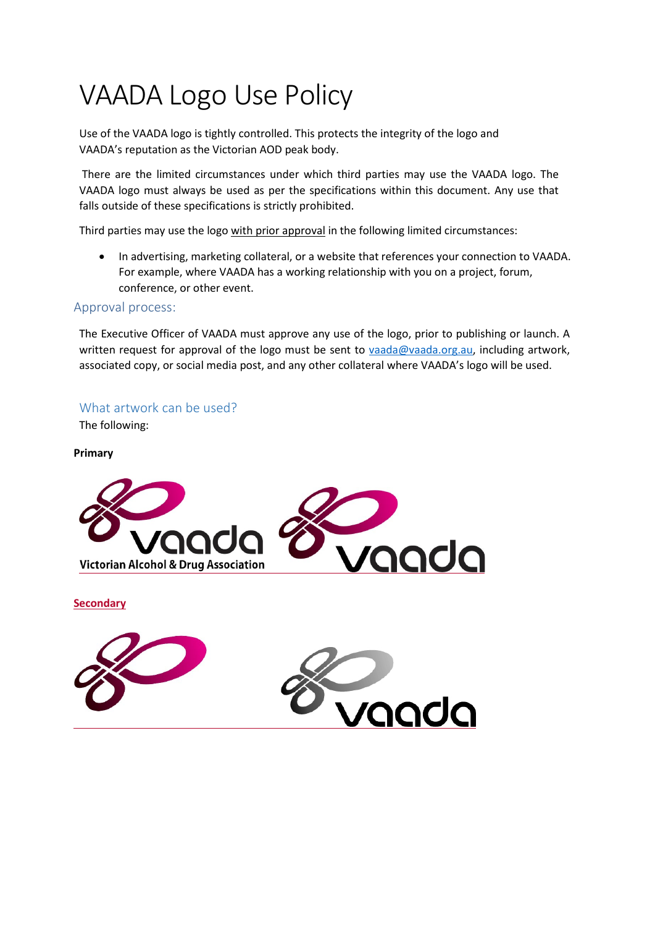# VAADA Logo Use Policy

Use of the VAADA logo is tightly controlled. This protects the integrity of the logo and VAADA's reputation as the Victorian AOD peak body.

There are the limited circumstances under which third parties may use the VAADA logo. The VAADA logo must always be used as per the specifications within this document. Any use that falls outside of these specifications is strictly prohibited.

Third parties may use the logo with prior approval in the following limited circumstances:

• In advertising, marketing collateral, or a website that references your connection to VAADA. For example, where VAADA has a working relationship with you on a project, forum, conference, or other event.

# Approval process:

The Executive Officer of VAADA must approve any use of the logo, prior to publishing or launch. A written request for approval of the logo must be sent to [vaada@vaada.org.au, i](mailto:vaada@vaada.org.au)ncluding artwork, associated copy, or social media post, and any other collateral where VAADA's logo will be used.

# What artwork can be used?

The following:

#### **Primary**



**Secondary**